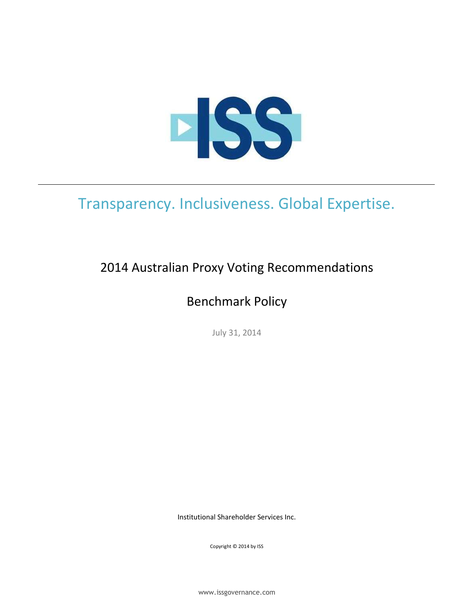

# Transparency. Inclusiveness. Global Expertise.

# 2014 Australian Proxy Voting Recommendations

# Benchmark Policy

July 31, 2014

Institutional Shareholder Services Inc.

Copyright © 2014 by ISS

www.issgovernance.com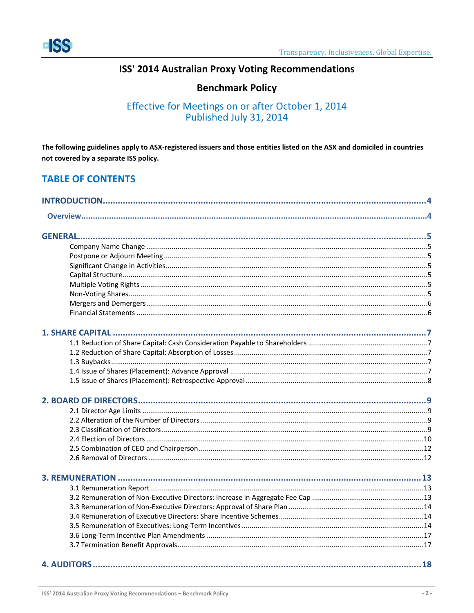

## ISS' 2014 Australian Proxy Voting Recommendations

## **Benchmark Policy**

## Effective for Meetings on or after October 1, 2014 Published July 31, 2014

The following guidelines apply to ASX-registered issuers and those entities listed on the ASX and domiciled in countries not covered by a separate ISS policy.

## **TABLE OF CONTENTS**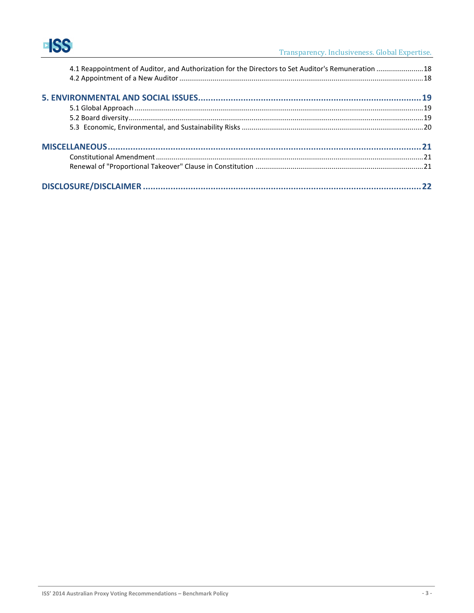| 4.1 Reappointment of Auditor, and Authorization for the Directors to Set Auditor's Remuneration  18 |  |
|-----------------------------------------------------------------------------------------------------|--|
|                                                                                                     |  |
|                                                                                                     |  |
|                                                                                                     |  |
|                                                                                                     |  |
|                                                                                                     |  |
|                                                                                                     |  |
|                                                                                                     |  |
|                                                                                                     |  |
|                                                                                                     |  |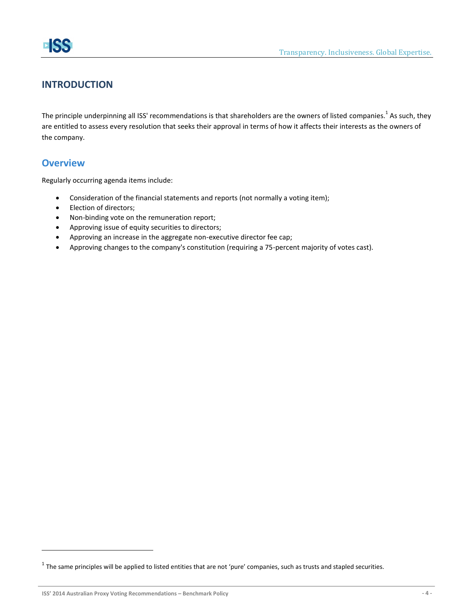## <span id="page-3-0"></span>**INTRODUCTION**

The principle underpinning all ISS' recommendations is that shareholders are the owners of listed companies.<sup>1</sup> As such, they are entitled to assess every resolution that seeks their approval in terms of how it affects their interests as the owners of the company.

## <span id="page-3-1"></span>**Overview**

 $\overline{a}$ 

Regularly occurring agenda items include:

- Consideration of the financial statements and reports (not normally a voting item);
- Election of directors;
- Non-binding vote on the remuneration report;
- Approving issue of equity securities to directors;
- Approving an increase in the aggregate non-executive director fee cap;
- Approving changes to the company's constitution (requiring a 75-percent majority of votes cast).

 $^1$  The same principles will be applied to listed entities that are not 'pure' companies, such as trusts and stapled securities.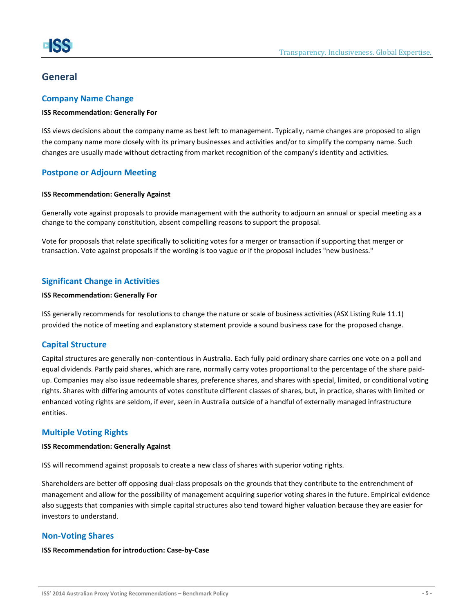## <span id="page-4-0"></span>**General**

### <span id="page-4-1"></span>**Company Name Change**

#### **ISS Recommendation: Generally For**

ISS views decisions about the company name as best left to management. Typically, name changes are proposed to align the company name more closely with its primary businesses and activities and/or to simplify the company name. Such changes are usually made without detracting from market recognition of the company's identity and activities.

## <span id="page-4-2"></span>**Postpone or Adjourn Meeting**

#### **ISS Recommendation: Generally Against**

Generally vote against proposals to provide management with the authority to adjourn an annual or special meeting as a change to the company constitution, absent compelling reasons to support the proposal.

Vote for proposals that relate specifically to soliciting votes for a merger or transaction if supporting that merger or transaction. Vote against proposals if the wording is too vague or if the proposal includes "new business."

## <span id="page-4-3"></span>**Significant Change in Activities**

#### **ISS Recommendation: Generally For**

ISS generally recommends for resolutions to change the nature or scale of business activities (ASX Listing Rule 11.1) provided the notice of meeting and explanatory statement provide a sound business case for the proposed change.

## <span id="page-4-4"></span>**Capital Structure**

Capital structures are generally non-contentious in Australia. Each fully paid ordinary share carries one vote on a poll and equal dividends. Partly paid shares, which are rare, normally carry votes proportional to the percentage of the share paidup. Companies may also issue redeemable shares, preference shares, and shares with special, limited, or conditional voting rights. Shares with differing amounts of votes constitute different classes of shares, but, in practice, shares with limited or enhanced voting rights are seldom, if ever, seen in Australia outside of a handful of externally managed infrastructure entities.

## <span id="page-4-5"></span>**Multiple Voting Rights**

#### **ISS Recommendation: Generally Against**

ISS will recommend against proposals to create a new class of shares with superior voting rights.

Shareholders are better off opposing dual-class proposals on the grounds that they contribute to the entrenchment of management and allow for the possibility of management acquiring superior voting shares in the future. Empirical evidence also suggests that companies with simple capital structures also tend toward higher valuation because they are easier for investors to understand.

## <span id="page-4-6"></span>**Non-Voting Shares**

#### **ISS Recommendation for introduction: Case-by-Case**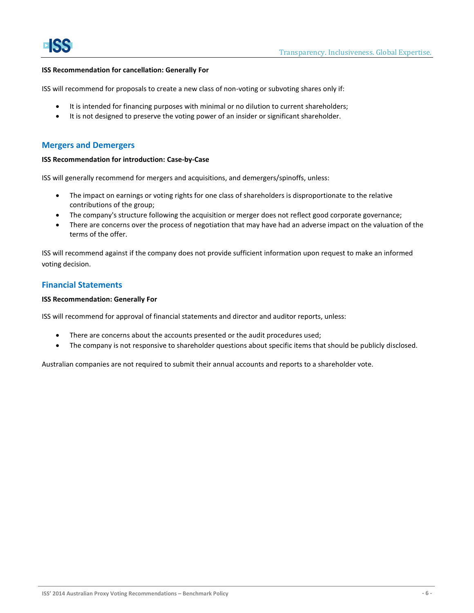#### **ISS Recommendation for cancellation: Generally For**

ISS will recommend for proposals to create a new class of non-voting or subvoting shares only if:

- It is intended for financing purposes with minimal or no dilution to current shareholders;
- It is not designed to preserve the voting power of an insider or significant shareholder.

#### <span id="page-5-0"></span>**Mergers and Demergers**

#### **ISS Recommendation for introduction: Case-by-Case**

ISS will generally recommend for mergers and acquisitions, and demergers/spinoffs, unless:

- The impact on earnings or voting rights for one class of shareholders is disproportionate to the relative contributions of the group;
- The company's structure following the acquisition or merger does not reflect good corporate governance;
- There are concerns over the process of negotiation that may have had an adverse impact on the valuation of the terms of the offer.

ISS will recommend against if the company does not provide sufficient information upon request to make an informed voting decision.

#### <span id="page-5-1"></span>**Financial Statements**

#### **ISS Recommendation: Generally For**

ISS will recommend for approval of financial statements and director and auditor reports, unless:

- There are concerns about the accounts presented or the audit procedures used;
- The company is not responsive to shareholder questions about specific items that should be publicly disclosed.

Australian companies are not required to submit their annual accounts and reports to a shareholder vote.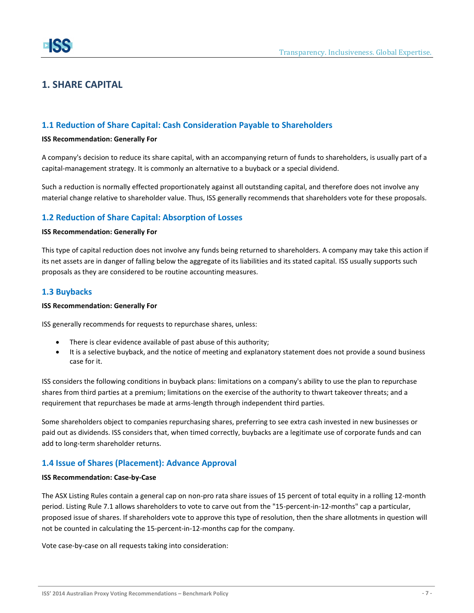## <span id="page-6-0"></span>**1. SHARE CAPITAL**

## <span id="page-6-1"></span>**1.1 Reduction of Share Capital: Cash Consideration Payable to Shareholders**

#### **ISS Recommendation: Generally For**

A company's decision to reduce its share capital, with an accompanying return of funds to shareholders, is usually part of a capital-management strategy. It is commonly an alternative to a buyback or a special dividend.

Such a reduction is normally effected proportionately against all outstanding capital, and therefore does not involve any material change relative to shareholder value. Thus, ISS generally recommends that shareholders vote for these proposals.

## <span id="page-6-2"></span>**1.2 Reduction of Share Capital: Absorption of Losses**

#### **ISS Recommendation: Generally For**

This type of capital reduction does not involve any funds being returned to shareholders. A company may take this action if its net assets are in danger of falling below the aggregate of its liabilities and its stated capital. ISS usually supports such proposals as they are considered to be routine accounting measures.

## <span id="page-6-3"></span>**1.3 Buybacks**

#### **ISS Recommendation: Generally For**

ISS generally recommends for requests to repurchase shares, unless:

- There is clear evidence available of past abuse of this authority;
- It is a selective buyback, and the notice of meeting and explanatory statement does not provide a sound business case for it.

ISS considers the following conditions in buyback plans: limitations on a company's ability to use the plan to repurchase shares from third parties at a premium; limitations on the exercise of the authority to thwart takeover threats; and a requirement that repurchases be made at arms-length through independent third parties.

Some shareholders object to companies repurchasing shares, preferring to see extra cash invested in new businesses or paid out as dividends. ISS considers that, when timed correctly, buybacks are a legitimate use of corporate funds and can add to long-term shareholder returns.

## <span id="page-6-4"></span>**1.4 Issue of Shares (Placement): Advance Approval**

#### **ISS Recommendation: Case-by-Case**

The ASX Listing Rules contain a general cap on non-pro rata share issues of 15 percent of total equity in a rolling 12-month period. Listing Rule 7.1 allows shareholders to vote to carve out from the "15-percent-in-12-months" cap a particular, proposed issue of shares. If shareholders vote to approve this type of resolution, then the share allotments in question will not be counted in calculating the 15-percent-in-12-months cap for the company.

Vote case-by-case on all requests taking into consideration: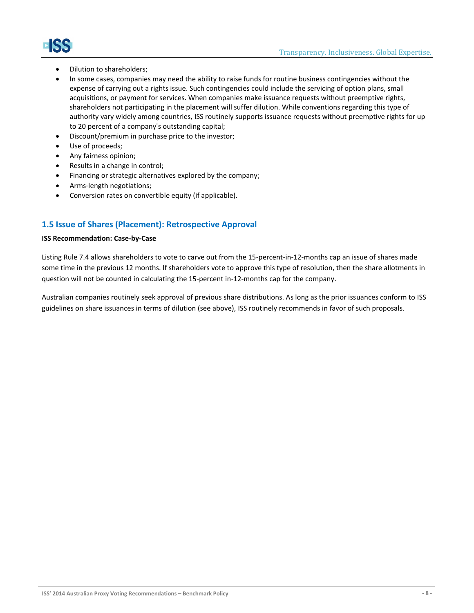

- - Dilution to shareholders;
	- In some cases, companies may need the ability to raise funds for routine business contingencies without the expense of carrying out a rights issue. Such contingencies could include the servicing of option plans, small acquisitions, or payment for services. When companies make issuance requests without preemptive rights, shareholders not participating in the placement will suffer dilution. While conventions regarding this type of authority vary widely among countries, ISS routinely supports issuance requests without preemptive rights for up to 20 percent of a company's outstanding capital;
	- Discount/premium in purchase price to the investor;
	- Use of proceeds;
	- Any fairness opinion;
	- Results in a change in control;
	- Financing or strategic alternatives explored by the company;
	- Arms-length negotiations;
	- Conversion rates on convertible equity (if applicable).

## <span id="page-7-0"></span>**1.5 Issue of Shares (Placement): Retrospective Approval**

### **ISS Recommendation: Case-by-Case**

Listing Rule 7.4 allows shareholders to vote to carve out from the 15-percent-in-12-months cap an issue of shares made some time in the previous 12 months. If shareholders vote to approve this type of resolution, then the share allotments in question will not be counted in calculating the 15-percent in-12-months cap for the company.

Australian companies routinely seek approval of previous share distributions. As long as the prior issuances conform to ISS guidelines on share issuances in terms of dilution (see above), ISS routinely recommends in favor of such proposals.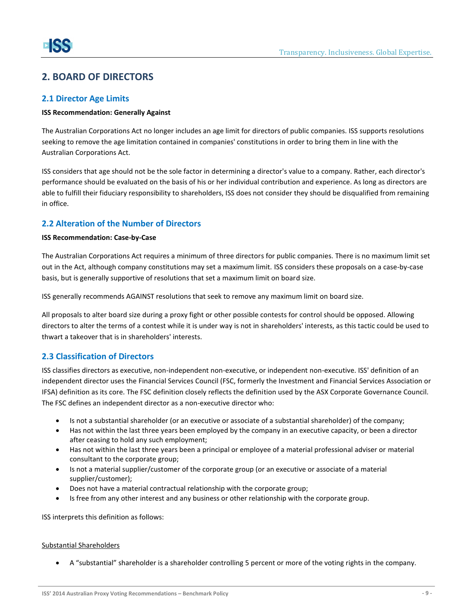## <span id="page-8-0"></span>**2. BOARD OF DIRECTORS**

## <span id="page-8-1"></span>**2.1 Director Age Limits**

#### **ISS Recommendation: Generally Against**

The Australian Corporations Act no longer includes an age limit for directors of public companies. ISS supports resolutions seeking to remove the age limitation contained in companies' constitutions in order to bring them in line with the Australian Corporations Act.

ISS considers that age should not be the sole factor in determining a director's value to a company. Rather, each director's performance should be evaluated on the basis of his or her individual contribution and experience. As long as directors are able to fulfill their fiduciary responsibility to shareholders, ISS does not consider they should be disqualified from remaining in office.

## <span id="page-8-2"></span>**2.2 Alteration of the Number of Directors**

#### **ISS Recommendation: Case-by-Case**

The Australian Corporations Act requires a minimum of three directors for public companies. There is no maximum limit set out in the Act, although company constitutions may set a maximum limit. ISS considers these proposals on a case-by-case basis, but is generally supportive of resolutions that set a maximum limit on board size.

ISS generally recommends AGAINST resolutions that seek to remove any maximum limit on board size.

All proposals to alter board size during a proxy fight or other possible contests for control should be opposed. Allowing directors to alter the terms of a contest while it is under way is not in shareholders' interests, as this tactic could be used to thwart a takeover that is in shareholders' interests.

## <span id="page-8-3"></span>**2.3 Classification of Directors**

ISS classifies directors as executive, non-independent non-executive, or independent non-executive. ISS' definition of an independent director uses the Financial Services Council (FSC, formerly the Investment and Financial Services Association or IFSA) definition as its core. The FSC definition closely reflects the definition used by the ASX Corporate Governance Council. The FSC defines an independent director as a non-executive director who:

- Is not a substantial shareholder (or an executive or associate of a substantial shareholder) of the company;
- Has not within the last three years been employed by the company in an executive capacity, or been a director after ceasing to hold any such employment;
- Has not within the last three years been a principal or employee of a material professional adviser or material consultant to the corporate group;
- Is not a material supplier/customer of the corporate group (or an executive or associate of a material supplier/customer);
- Does not have a material contractual relationship with the corporate group;
- Is free from any other interest and any business or other relationship with the corporate group.

ISS interprets this definition as follows:

#### Substantial Shareholders

A "substantial" shareholder is a shareholder controlling 5 percent or more of the voting rights in the company.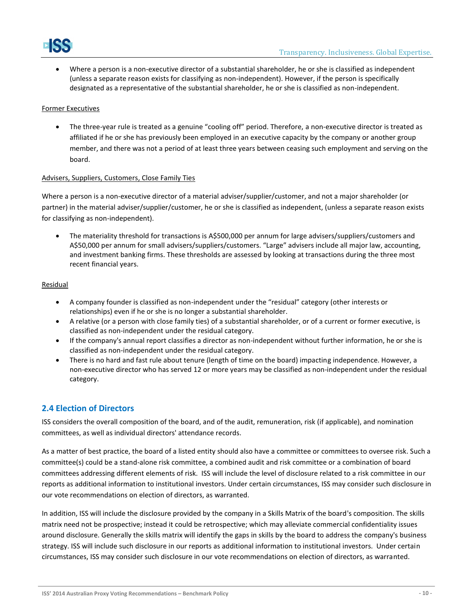

 Where a person is a non-executive director of a substantial shareholder, he or she is classified as independent (unless a separate reason exists for classifying as non-independent). However, if the person is specifically designated as a representative of the substantial shareholder, he or she is classified as non-independent.

#### Former Executives

 The three-year rule is treated as a genuine "cooling off" period. Therefore, a non-executive director is treated as affiliated if he or she has previously been employed in an executive capacity by the company or another group member, and there was not a period of at least three years between ceasing such employment and serving on the board.

#### Advisers, Suppliers, Customers, Close Family Ties

Where a person is a non-executive director of a material adviser/supplier/customer, and not a major shareholder (or partner) in the material adviser/supplier/customer, he or she is classified as independent, (unless a separate reason exists for classifying as non-independent).

 The materiality threshold for transactions is A\$500,000 per annum for large advisers/suppliers/customers and A\$50,000 per annum for small advisers/suppliers/customers. "Large" advisers include all major law, accounting, and investment banking firms. These thresholds are assessed by looking at transactions during the three most recent financial years.

#### Residual

- A company founder is classified as non-independent under the "residual" category (other interests or relationships) even if he or she is no longer a substantial shareholder.
- A relative (or a person with close family ties) of a substantial shareholder, or of a current or former executive, is classified as non-independent under the residual category.
- If the company's annual report classifies a director as non-independent without further information, he or she is classified as non-independent under the residual category.
- There is no hard and fast rule about tenure (length of time on the board) impacting independence. However, a non-executive director who has served 12 or more years may be classified as non-independent under the residual category.

## <span id="page-9-0"></span>**2.4 Election of Directors**

ISS considers the overall composition of the board, and of the audit, remuneration, risk (if applicable), and nomination committees, as well as individual directors' attendance records.

As a matter of best practice, the board of a listed entity should also have a committee or committees to oversee risk. Such a committee(s) could be a stand-alone risk committee, a combined audit and risk committee or a combination of board committees addressing different elements of risk. ISS will include the level of disclosure related to a risk committee in our reports as additional information to institutional investors. Under certain circumstances, ISS may consider such disclosure in our vote recommendations on election of directors, as warranted.

In addition, ISS will include the disclosure provided by the company in a Skills Matrix of the board's composition. The skills matrix need not be prospective; instead it could be retrospective; which may alleviate commercial confidentiality issues around disclosure. Generally the skills matrix will identify the gaps in skills by the board to address the company's business strategy. ISS will include such disclosure in our reports as additional information to institutional investors. Under certain circumstances, ISS may consider such disclosure in our vote recommendations on election of directors, as warranted.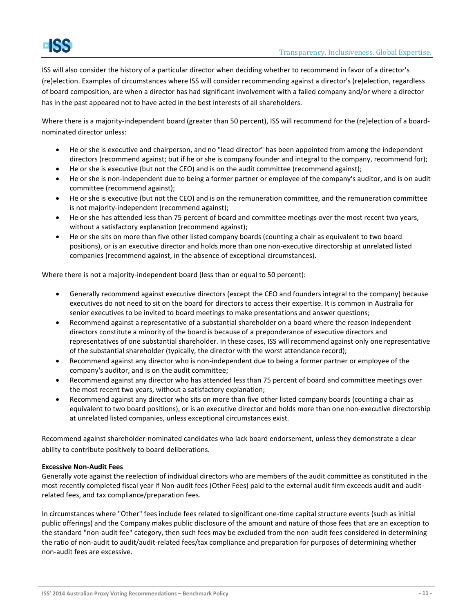ISS will also consider the history of a particular director when deciding whether to recommend in favor of a director's (re)election. Examples of circumstances where ISS will consider recommending against a director's (re)election, regardless of board composition, are when a director has had significant involvement with a failed company and/or where a director has in the past appeared not to have acted in the best interests of all shareholders.

Where there is a majority-independent board (greater than 50 percent), ISS will recommend for the (re)election of a boardnominated director unless:

- He or she is executive and chairperson, and no "lead director" has been appointed from among the independent directors (recommend against; but if he or she is company founder and integral to the company, recommend for);
- He or she is executive (but not the CEO) and is on the audit committee (recommend against);
- He or she is non-independent due to being a former partner or employee of the company's auditor, and is on audit committee (recommend against);
- He or she is executive (but not the CEO) and is on the remuneration committee, and the remuneration committee is not majority-independent (recommend against);
- He or she has attended less than 75 percent of board and committee meetings over the most recent two years, without a satisfactory explanation (recommend against);
- He or she sits on more than five other listed company boards (counting a chair as equivalent to two board positions), or is an executive director and holds more than one non-executive directorship at unrelated listed companies (recommend against, in the absence of exceptional circumstances).

Where there is not a majority-independent board (less than or equal to 50 percent):

- Generally recommend against executive directors (except the CEO and founders integral to the company) because executives do not need to sit on the board for directors to access their expertise. It is common in Australia for senior executives to be invited to board meetings to make presentations and answer questions;
- Recommend against a representative of a substantial shareholder on a board where the reason independent directors constitute a minority of the board is because of a preponderance of executive directors and representatives of one substantial shareholder. In these cases, ISS will recommend against only one representative of the substantial shareholder (typically, the director with the worst attendance record);
- Recommend against any director who is non-independent due to being a former partner or employee of the company's auditor, and is on the audit committee;
- Recommend against any director who has attended less than 75 percent of board and committee meetings over the most recent two years, without a satisfactory explanation;
- Recommend against any director who sits on more than five other listed company boards (counting a chair as equivalent to two board positions), or is an executive director and holds more than one non-executive directorship at unrelated listed companies, unless exceptional circumstances exist.

Recommend against shareholder-nominated candidates who lack board endorsement, unless they demonstrate a clear ability to contribute positively to board deliberations.

#### **Excessive Non-Audit Fees**

Generally vote against the reelection of individual directors who are members of the audit committee as constituted in the most recently completed fiscal year if Non-audit fees (Other Fees) paid to the external audit firm exceeds audit and auditrelated fees, and tax compliance/preparation fees.

In circumstances where "Other" fees include fees related to significant one-time capital structure events (such as initial public offerings) and the Company makes public disclosure of the amount and nature of those fees that are an exception to the standard "non-audit fee" category, then such fees may be excluded from the non-audit fees considered in determining the ratio of non-audit to audit/audit-related fees/tax compliance and preparation for purposes of determining whether non-audit fees are excessive.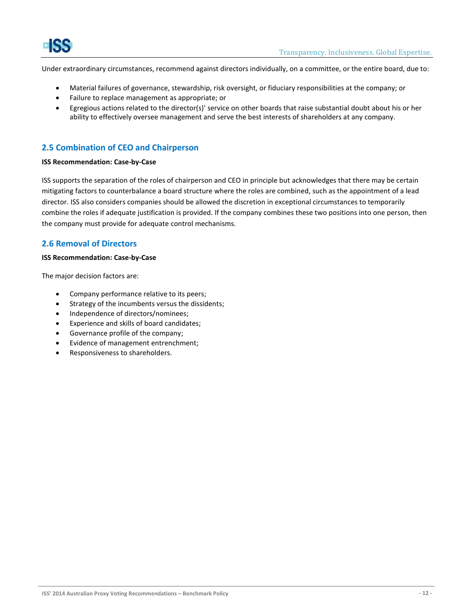Under extraordinary circumstances, recommend against directors individually, on a committee, or the entire board, due to:

- Material failures of governance, stewardship, risk oversight, or fiduciary responsibilities at the company; or
- Failure to replace management as appropriate; or
- Egregious actions related to the director(s)' service on other boards that raise substantial doubt about his or her ability to effectively oversee management and serve the best interests of shareholders at any company.

## <span id="page-11-0"></span>**2.5 Combination of CEO and Chairperson**

#### **ISS Recommendation: Case-by-Case**

ISS supports the separation of the roles of chairperson and CEO in principle but acknowledges that there may be certain mitigating factors to counterbalance a board structure where the roles are combined, such as the appointment of a lead director. ISS also considers companies should be allowed the discretion in exceptional circumstances to temporarily combine the roles if adequate justification is provided. If the company combines these two positions into one person, then the company must provide for adequate control mechanisms.

## <span id="page-11-1"></span>**2.6 Removal of Directors**

#### **ISS Recommendation: Case-by-Case**

The major decision factors are:

- Company performance relative to its peers;
- Strategy of the incumbents versus the dissidents;
- Independence of directors/nominees;
- Experience and skills of board candidates;
- Governance profile of the company;
- Evidence of management entrenchment;
- Responsiveness to shareholders.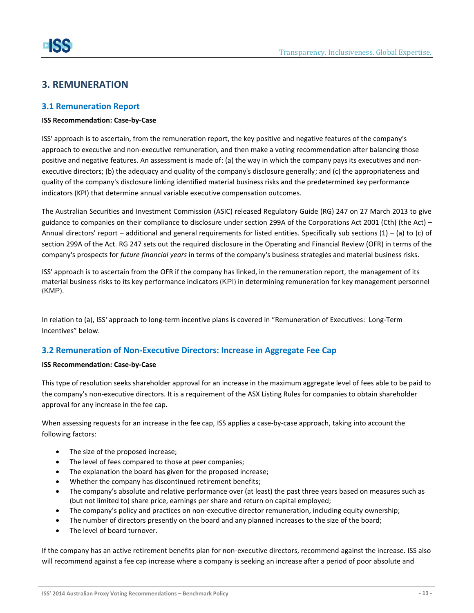## <span id="page-12-0"></span>**3. REMUNERATION**

## <span id="page-12-1"></span>**3.1 Remuneration Report**

#### **ISS Recommendation: Case-by-Case**

ISS' approach is to ascertain, from the remuneration report, the key positive and negative features of the company's approach to executive and non-executive remuneration, and then make a voting recommendation after balancing those positive and negative features. An assessment is made of: (a) the way in which the company pays its executives and nonexecutive directors; (b) the adequacy and quality of the company's disclosure generally; and (c) the appropriateness and quality of the company's disclosure linking identified material business risks and the predetermined key performance indicators (KPI) that determine annual variable executive compensation outcomes.

The Australian Securities and Investment Commission (ASIC) released Regulatory Guide (RG) 247 on 27 March 2013 to give guidance to companies on their compliance to disclosure under section 299A of the Corporations Act 2001 (Cth) (the Act) – Annual directors' report – additional and general requirements for listed entities. Specifically sub sections  $(1)$  – (a) to (c) of section 299A of the Act. RG 247 sets out the required disclosure in the Operating and Financial Review (OFR) in terms of the company's prospects for *future financial years* in terms of the company's business strategies and material business risks.

ISS' approach is to ascertain from the OFR if the company has linked, in the remuneration report, the management of its material business risks to its key performance indicators (KPI) in determining remuneration for key management personnel (KMP).

In relation to (a), ISS' approach to long-term incentive plans is covered in "Remuneration of Executives: Long-Term Incentives" below.

## <span id="page-12-2"></span>**3.2 Remuneration of Non-Executive Directors: Increase in Aggregate Fee Cap**

#### **ISS Recommendation: Case-by-Case**

This type of resolution seeks shareholder approval for an increase in the maximum aggregate level of fees able to be paid to the company's non-executive directors. It is a requirement of the ASX Listing Rules for companies to obtain shareholder approval for any increase in the fee cap.

When assessing requests for an increase in the fee cap, ISS applies a case-by-case approach, taking into account the following factors:

- The size of the proposed increase;
- The level of fees compared to those at peer companies;
- The explanation the board has given for the proposed increase;
- Whether the company has discontinued retirement benefits;
- The company's absolute and relative performance over (at least) the past three years based on measures such as (but not limited to) share price, earnings per share and return on capital employed;
- The company's policy and practices on non-executive director remuneration, including equity ownership;
- The number of directors presently on the board and any planned increases to the size of the board;
- The level of board turnover.

If the company has an active retirement benefits plan for non-executive directors, recommend against the increase. ISS also will recommend against a fee cap increase where a company is seeking an increase after a period of poor absolute and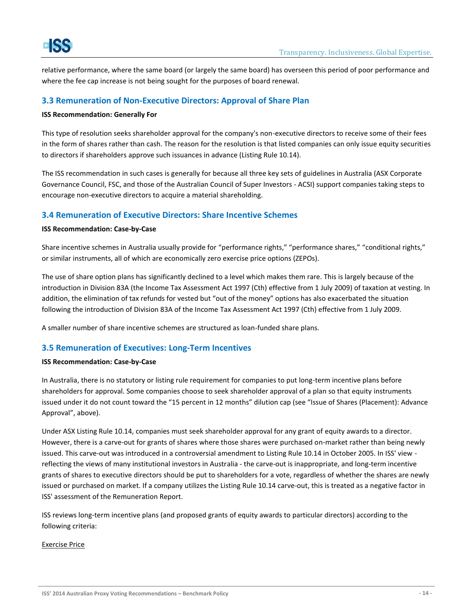relative performance, where the same board (or largely the same board) has overseen this period of poor performance and where the fee cap increase is not being sought for the purposes of board renewal.

## <span id="page-13-0"></span>**3.3 Remuneration of Non-Executive Directors: Approval of Share Plan**

#### **ISS Recommendation: Generally For**

This type of resolution seeks shareholder approval for the company's non-executive directors to receive some of their fees in the form of shares rather than cash. The reason for the resolution is that listed companies can only issue equity securities to directors if shareholders approve such issuances in advance (Listing Rule 10.14).

The ISS recommendation in such cases is generally for because all three key sets of guidelines in Australia (ASX Corporate Governance Council, FSC, and those of the Australian Council of Super Investors - ACSI) support companies taking steps to encourage non-executive directors to acquire a material shareholding.

## <span id="page-13-1"></span>**3.4 Remuneration of Executive Directors: Share Incentive Schemes**

#### **ISS Recommendation: Case-by-Case**

Share incentive schemes in Australia usually provide for "performance rights," "performance shares," "conditional rights," or similar instruments, all of which are economically zero exercise price options (ZEPOs).

The use of share option plans has significantly declined to a level which makes them rare. This is largely because of the introduction in Division 83A (the Income Tax Assessment Act 1997 (Cth) effective from 1 July 2009) of taxation at vesting. In addition, the elimination of tax refunds for vested but "out of the money" options has also exacerbated the situation following the introduction of Division 83A of the Income Tax Assessment Act 1997 (Cth) effective from 1 July 2009.

A smaller number of share incentive schemes are structured as loan-funded share plans.

## <span id="page-13-2"></span>**3.5 Remuneration of Executives: Long-Term Incentives**

#### **ISS Recommendation: Case-by-Case**

In Australia, there is no statutory or listing rule requirement for companies to put long-term incentive plans before shareholders for approval. Some companies choose to seek shareholder approval of a plan so that equity instruments issued under it do not count toward the "15 percent in 12 months" dilution cap (see "Issue of Shares (Placement): Advance Approval", above).

Under ASX Listing Rule 10.14, companies must seek shareholder approval for any grant of equity awards to a director. However, there is a carve-out for grants of shares where those shares were purchased on-market rather than being newly issued. This carve-out was introduced in a controversial amendment to Listing Rule 10.14 in October 2005. In ISS' view reflecting the views of many institutional investors in Australia - the carve-out is inappropriate, and long-term incentive grants of shares to executive directors should be put to shareholders for a vote, regardless of whether the shares are newly issued or purchased on market. If a company utilizes the Listing Rule 10.14 carve-out, this is treated as a negative factor in ISS' assessment of the Remuneration Report.

ISS reviews long-term incentive plans (and proposed grants of equity awards to particular directors) according to the following criteria:

#### Exercise Price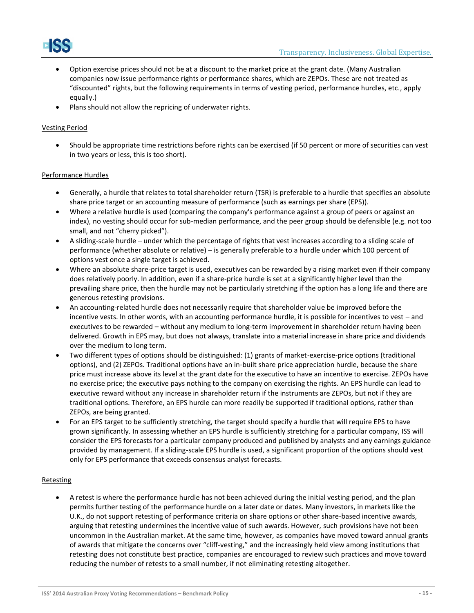

- Option exercise prices should not be at a discount to the market price at the grant date. (Many Australian companies now issue performance rights or performance shares, which are ZEPOs. These are not treated as "discounted" rights, but the following requirements in terms of vesting period, performance hurdles, etc., apply equally.)
- Plans should not allow the repricing of underwater rights.

#### Vesting Period

 Should be appropriate time restrictions before rights can be exercised (if 50 percent or more of securities can vest in two years or less, this is too short).

#### Performance Hurdles

- Generally, a hurdle that relates to total shareholder return (TSR) is preferable to a hurdle that specifies an absolute share price target or an accounting measure of performance (such as earnings per share (EPS)).
- Where a relative hurdle is used (comparing the company's performance against a group of peers or against an index), no vesting should occur for sub-median performance, and the peer group should be defensible (e.g. not too small, and not "cherry picked").
- A sliding-scale hurdle under which the percentage of rights that vest increases according to a sliding scale of performance (whether absolute or relative) – is generally preferable to a hurdle under which 100 percent of options vest once a single target is achieved.
- Where an absolute share-price target is used, executives can be rewarded by a rising market even if their company does relatively poorly. In addition, even if a share-price hurdle is set at a significantly higher level than the prevailing share price, then the hurdle may not be particularly stretching if the option has a long life and there are generous retesting provisions.
- An accounting-related hurdle does not necessarily require that shareholder value be improved before the incentive vests. In other words, with an accounting performance hurdle, it is possible for incentives to vest – and executives to be rewarded – without any medium to long-term improvement in shareholder return having been delivered. Growth in EPS may, but does not always, translate into a material increase in share price and dividends over the medium to long term.
- Two different types of options should be distinguished: (1) grants of market-exercise-price options (traditional options), and (2) ZEPOs. Traditional options have an in-built share price appreciation hurdle, because the share price must increase above its level at the grant date for the executive to have an incentive to exercise. ZEPOs have no exercise price; the executive pays nothing to the company on exercising the rights. An EPS hurdle can lead to executive reward without any increase in shareholder return if the instruments are ZEPOs, but not if they are traditional options. Therefore, an EPS hurdle can more readily be supported if traditional options, rather than ZEPOs, are being granted.
- For an EPS target to be sufficiently stretching, the target should specify a hurdle that will require EPS to have grown significantly. In assessing whether an EPS hurdle is sufficiently stretching for a particular company, ISS will consider the EPS forecasts for a particular company produced and published by analysts and any earnings guidance provided by management. If a sliding-scale EPS hurdle is used, a significant proportion of the options should vest only for EPS performance that exceeds consensus analyst forecasts.

#### Retesting

 A retest is where the performance hurdle has not been achieved during the initial vesting period, and the plan permits further testing of the performance hurdle on a later date or dates. Many investors, in markets like the U.K., do not support retesting of performance criteria on share options or other share-based incentive awards, arguing that retesting undermines the incentive value of such awards. However, such provisions have not been uncommon in the Australian market. At the same time, however, as companies have moved toward annual grants of awards that mitigate the concerns over "cliff-vesting," and the increasingly held view among institutions that retesting does not constitute best practice, companies are encouraged to review such practices and move toward reducing the number of retests to a small number, if not eliminating retesting altogether.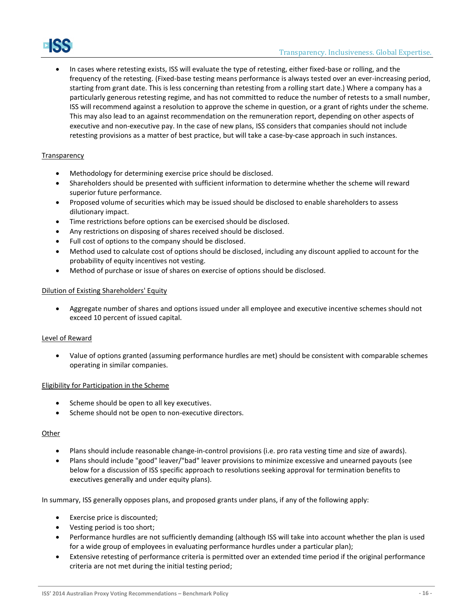In cases where retesting exists, ISS will evaluate the type of retesting, either fixed-base or rolling, and the frequency of the retesting. (Fixed-base testing means performance is always tested over an ever-increasing period, starting from grant date. This is less concerning than retesting from a rolling start date.) Where a company has a particularly generous retesting regime, and has not committed to reduce the number of retests to a small number, ISS will recommend against a resolution to approve the scheme in question, or a grant of rights under the scheme. This may also lead to an against recommendation on the remuneration report, depending on other aspects of executive and non-executive pay. In the case of new plans, ISS considers that companies should not include

## **Transparency**

- Methodology for determining exercise price should be disclosed.
- Shareholders should be presented with sufficient information to determine whether the scheme will reward superior future performance.

retesting provisions as a matter of best practice, but will take a case-by-case approach in such instances.

- Proposed volume of securities which may be issued should be disclosed to enable shareholders to assess dilutionary impact.
- Time restrictions before options can be exercised should be disclosed.
- Any restrictions on disposing of shares received should be disclosed.
- Full cost of options to the company should be disclosed.
- Method used to calculate cost of options should be disclosed, including any discount applied to account for the probability of equity incentives not vesting.
- Method of purchase or issue of shares on exercise of options should be disclosed.

## Dilution of Existing Shareholders' Equity

 Aggregate number of shares and options issued under all employee and executive incentive schemes should not exceed 10 percent of issued capital.

#### Level of Reward

 Value of options granted (assuming performance hurdles are met) should be consistent with comparable schemes operating in similar companies.

#### Eligibility for Participation in the Scheme

- Scheme should be open to all key executives.
- Scheme should not be open to non-executive directors.

#### Other

- Plans should include reasonable change-in-control provisions (i.e. pro rata vesting time and size of awards).
- Plans should include "good" leaver/"bad" leaver provisions to minimize excessive and unearned payouts (see below for a discussion of ISS specific approach to resolutions seeking approval for termination benefits to executives generally and under equity plans).

In summary, ISS generally opposes plans, and proposed grants under plans, if any of the following apply:

- Exercise price is discounted;
- Vesting period is too short;
- Performance hurdles are not sufficiently demanding (although ISS will take into account whether the plan is used for a wide group of employees in evaluating performance hurdles under a particular plan);
- Extensive retesting of performance criteria is permitted over an extended time period if the original performance criteria are not met during the initial testing period;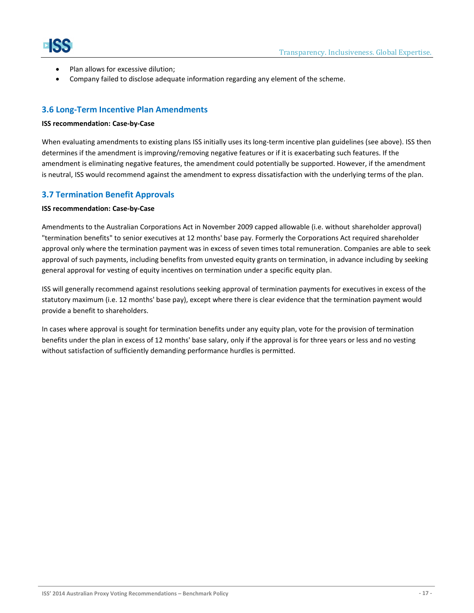



- Plan allows for excessive dilution;
- Company failed to disclose adequate information regarding any element of the scheme.

## <span id="page-16-0"></span>**3.6 Long-Term Incentive Plan Amendments**

#### **ISS recommendation: Case-by-Case**

When evaluating amendments to existing plans ISS initially uses its long-term incentive plan guidelines (see above). ISS then determines if the amendment is improving/removing negative features or if it is exacerbating such features. If the amendment is eliminating negative features, the amendment could potentially be supported. However, if the amendment is neutral, ISS would recommend against the amendment to express dissatisfaction with the underlying terms of the plan.

## <span id="page-16-1"></span>**3.7 Termination Benefit Approvals**

#### **ISS recommendation: Case-by-Case**

Amendments to the Australian Corporations Act in November 2009 capped allowable (i.e. without shareholder approval) "termination benefits" to senior executives at 12 months' base pay. Formerly the Corporations Act required shareholder approval only where the termination payment was in excess of seven times total remuneration. Companies are able to seek approval of such payments, including benefits from unvested equity grants on termination, in advance including by seeking general approval for vesting of equity incentives on termination under a specific equity plan.

ISS will generally recommend against resolutions seeking approval of termination payments for executives in excess of the statutory maximum (i.e. 12 months' base pay), except where there is clear evidence that the termination payment would provide a benefit to shareholders.

In cases where approval is sought for termination benefits under any equity plan, vote for the provision of termination benefits under the plan in excess of 12 months' base salary, only if the approval is for three years or less and no vesting without satisfaction of sufficiently demanding performance hurdles is permitted.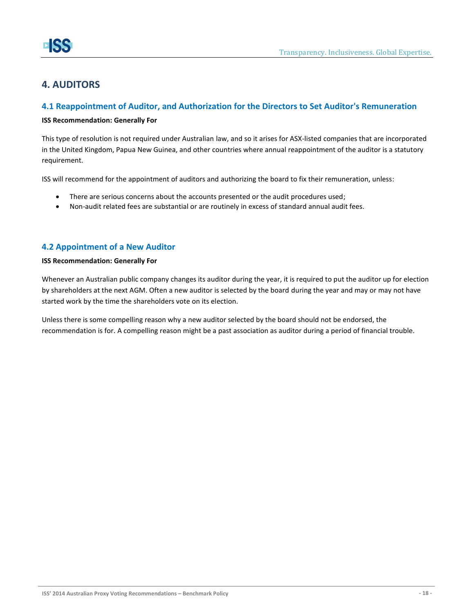## <span id="page-17-0"></span>**4. AUDITORS**

## <span id="page-17-1"></span>**4.1 Reappointment of Auditor, and Authorization for the Directors to Set Auditor's Remuneration**

### **ISS Recommendation: Generally For**

This type of resolution is not required under Australian law, and so it arises for ASX-listed companies that are incorporated in the United Kingdom, Papua New Guinea, and other countries where annual reappointment of the auditor is a statutory requirement.

ISS will recommend for the appointment of auditors and authorizing the board to fix their remuneration, unless:

- There are serious concerns about the accounts presented or the audit procedures used;
- Non-audit related fees are substantial or are routinely in excess of standard annual audit fees.

## <span id="page-17-2"></span>**4.2 Appointment of a New Auditor**

#### **ISS Recommendation: Generally For**

Whenever an Australian public company changes its auditor during the year, it is required to put the auditor up for election by shareholders at the next AGM. Often a new auditor is selected by the board during the year and may or may not have started work by the time the shareholders vote on its election.

Unless there is some compelling reason why a new auditor selected by the board should not be endorsed, the recommendation is for. A compelling reason might be a past association as auditor during a period of financial trouble.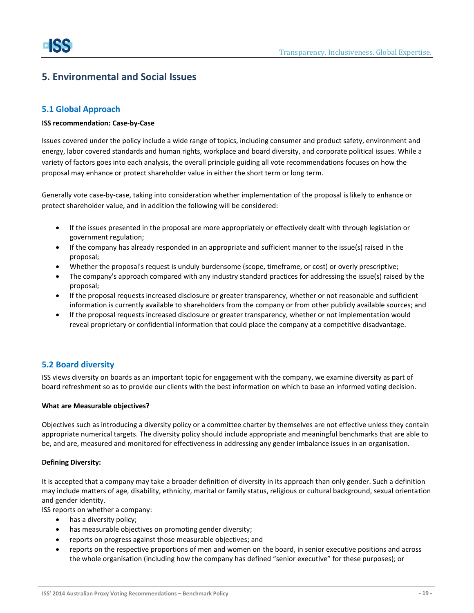## <span id="page-18-0"></span>**5. Environmental and Social Issues**

## <span id="page-18-1"></span>**5.1 Global Approach**

#### **ISS recommendation: Case-by-Case**

Issues covered under the policy include a wide range of topics, including consumer and product safety, environment and energy, labor covered standards and human rights, workplace and board diversity, and corporate political issues. While a variety of factors goes into each analysis, the overall principle guiding all vote recommendations focuses on how the proposal may enhance or protect shareholder value in either the short term or long term.

Generally vote case-by-case, taking into consideration whether implementation of the proposal is likely to enhance or protect shareholder value, and in addition the following will be considered:

- If the issues presented in the proposal are more appropriately or effectively dealt with through legislation or government regulation;
- If the company has already responded in an appropriate and sufficient manner to the issue(s) raised in the proposal;
- Whether the proposal's request is unduly burdensome (scope, timeframe, or cost) or overly prescriptive;
- The company's approach compared with any industry standard practices for addressing the issue(s) raised by the proposal;
- If the proposal requests increased disclosure or greater transparency, whether or not reasonable and sufficient information is currently available to shareholders from the company or from other publicly available sources; and
- If the proposal requests increased disclosure or greater transparency, whether or not implementation would reveal proprietary or confidential information that could place the company at a competitive disadvantage.

## <span id="page-18-2"></span>**5.2 Board diversity**

ISS views diversity on boards as an important topic for engagement with the company, we examine diversity as part of board refreshment so as to provide our clients with the best information on which to base an informed voting decision.

#### **What are Measurable objectives?**

Objectives such as introducing a diversity policy or a committee charter by themselves are not effective unless they contain appropriate numerical targets. The diversity policy should include appropriate and meaningful benchmarks that are able to be, and are, measured and monitored for effectiveness in addressing any gender imbalance issues in an organisation.

#### **Defining Diversity:**

It is accepted that a company may take a broader definition of diversity in its approach than only gender. Such a definition may include matters of age, disability, ethnicity, marital or family status, religious or cultural background, sexual orientation and gender identity.

ISS reports on whether a company:

- has a diversity policy;
- has measurable objectives on promoting gender diversity;
- reports on progress against those measurable objectives; and
- reports on the respective proportions of men and women on the board, in senior executive positions and across the whole organisation (including how the company has defined "senior executive" for these purposes); or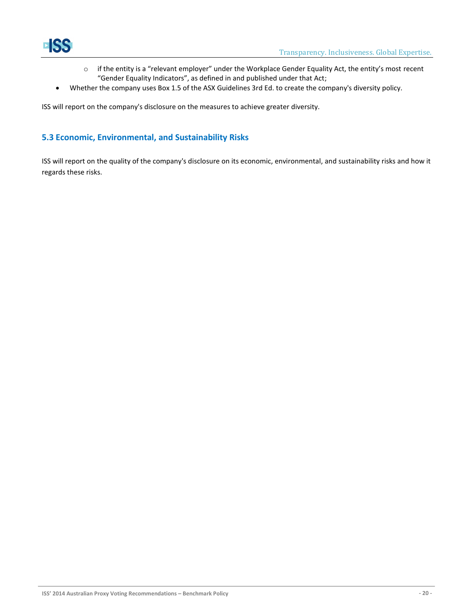

- o if the entity is a "relevant employer" under the Workplace Gender Equality Act, the entity's most recent "Gender Equality Indicators", as defined in and published under that Act;
- Whether the company uses Box 1.5 of the ASX Guidelines 3rd Ed. to create the company's diversity policy.

ISS will report on the company's disclosure on the measures to achieve greater diversity.

## <span id="page-19-0"></span>**5.3 Economic, Environmental, and Sustainability Risks**

ISS will report on the quality of the company's disclosure on its economic, environmental, and sustainability risks and how it regards these risks.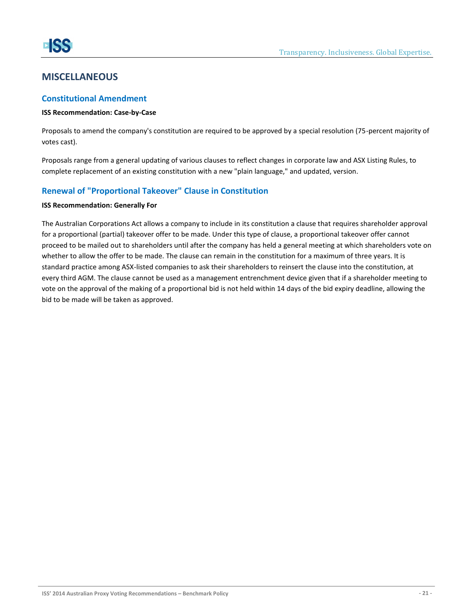## <span id="page-20-0"></span>**MISCELLANEOUS**

## <span id="page-20-1"></span>**Constitutional Amendment**

#### **ISS Recommendation: Case-by-Case**

Proposals to amend the company's constitution are required to be approved by a special resolution (75-percent majority of votes cast).

Proposals range from a general updating of various clauses to reflect changes in corporate law and ASX Listing Rules, to complete replacement of an existing constitution with a new "plain language," and updated, version.

## <span id="page-20-2"></span>**Renewal of "Proportional Takeover" Clause in Constitution**

#### **ISS Recommendation: Generally For**

The Australian Corporations Act allows a company to include in its constitution a clause that requires shareholder approval for a proportional (partial) takeover offer to be made. Under this type of clause, a proportional takeover offer cannot proceed to be mailed out to shareholders until after the company has held a general meeting at which shareholders vote on whether to allow the offer to be made. The clause can remain in the constitution for a maximum of three years. It is standard practice among ASX-listed companies to ask their shareholders to reinsert the clause into the constitution, at every third AGM. The clause cannot be used as a management entrenchment device given that if a shareholder meeting to vote on the approval of the making of a proportional bid is not held within 14 days of the bid expiry deadline, allowing the bid to be made will be taken as approved.